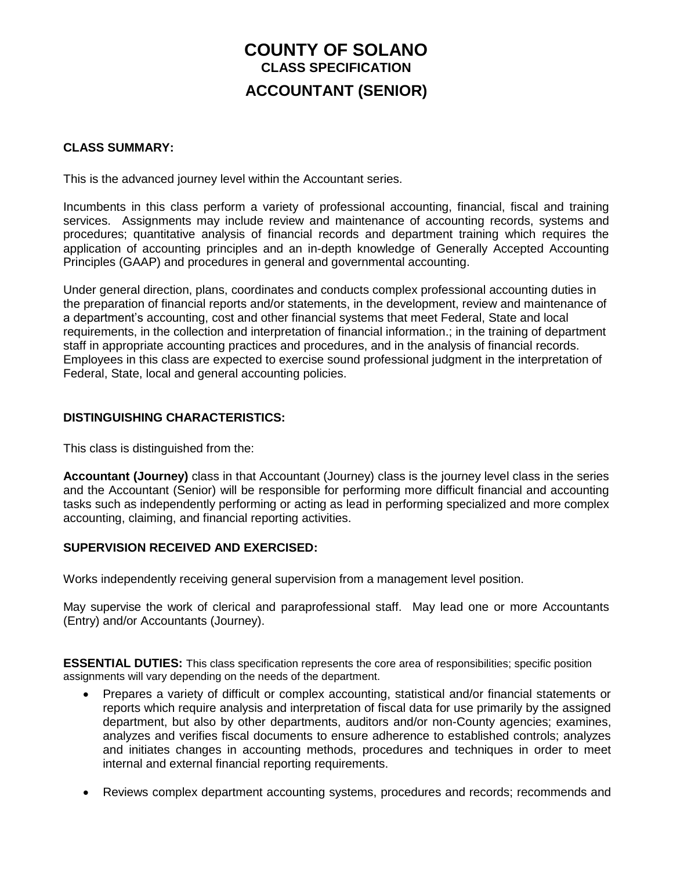# **COUNTY OF SOLANO CLASS SPECIFICATION ACCOUNTANT (SENIOR)**

# **CLASS SUMMARY:**

This is the advanced journey level within the Accountant series.

Incumbents in this class perform a variety of professional accounting, financial, fiscal and training services. Assignments may include review and maintenance of accounting records, systems and procedures; quantitative analysis of financial records and department training which requires the application of accounting principles and an in-depth knowledge of Generally Accepted Accounting Principles (GAAP) and procedures in general and governmental accounting.

Under general direction, plans, coordinates and conducts complex professional accounting duties in the preparation of financial reports and/or statements, in the development, review and maintenance of a department's accounting, cost and other financial systems that meet Federal, State and local requirements, in the collection and interpretation of financial information.; in the training of department staff in appropriate accounting practices and procedures, and in the analysis of financial records. Employees in this class are expected to exercise sound professional judgment in the interpretation of Federal, State, local and general accounting policies.

# **DISTINGUISHING CHARACTERISTICS:**

This class is distinguished from the:

**Accountant (Journey)** class in that Accountant (Journey) class is the journey level class in the series and the Accountant (Senior) will be responsible for performing more difficult financial and accounting tasks such as independently performing or acting as lead in performing specialized and more complex accounting, claiming, and financial reporting activities.

### **SUPERVISION RECEIVED AND EXERCISED:**

Works independently receiving general supervision from a management level position.

May supervise the work of clerical and paraprofessional staff. May lead one or more Accountants (Entry) and/or Accountants (Journey).

**ESSENTIAL DUTIES:** This class specification represents the core area of responsibilities; specific position assignments will vary depending on the needs of the department.

- Prepares a variety of difficult or complex accounting, statistical and/or financial statements or reports which require analysis and interpretation of fiscal data for use primarily by the assigned department, but also by other departments, auditors and/or non-County agencies; examines, analyzes and verifies fiscal documents to ensure adherence to established controls; analyzes and initiates changes in accounting methods, procedures and techniques in order to meet internal and external financial reporting requirements.
- Reviews complex department accounting systems, procedures and records; recommends and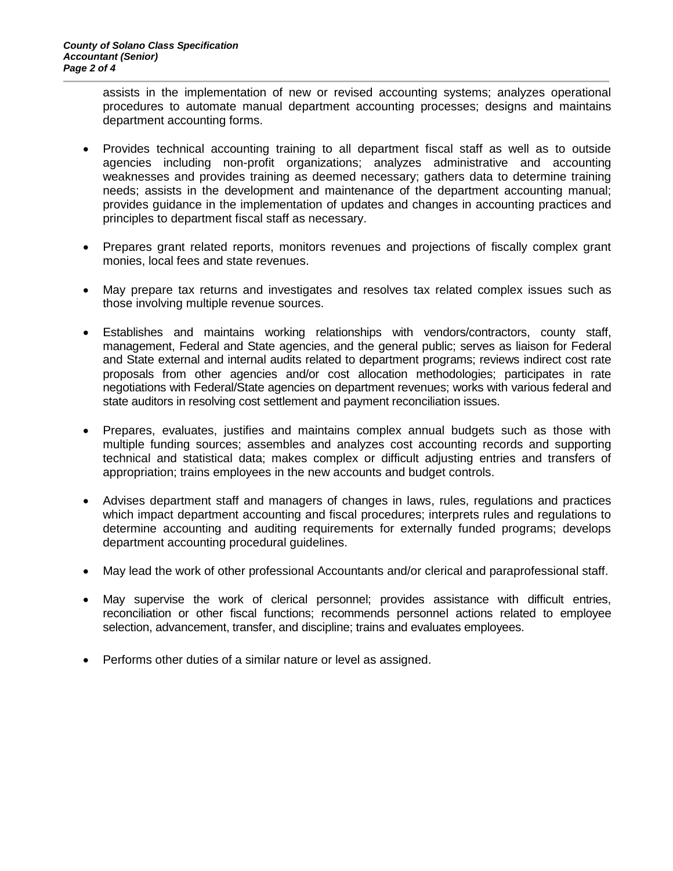assists in the implementation of new or revised accounting systems; analyzes operational procedures to automate manual department accounting processes; designs and maintains department accounting forms.

- Provides technical accounting training to all department fiscal staff as well as to outside agencies including non-profit organizations; analyzes administrative and accounting weaknesses and provides training as deemed necessary; gathers data to determine training needs; assists in the development and maintenance of the department accounting manual; provides guidance in the implementation of updates and changes in accounting practices and principles to department fiscal staff as necessary.
- Prepares grant related reports, monitors revenues and projections of fiscally complex grant monies, local fees and state revenues.
- May prepare tax returns and investigates and resolves tax related complex issues such as those involving multiple revenue sources.
- Establishes and maintains working relationships with vendors/contractors, county staff, management, Federal and State agencies, and the general public; serves as liaison for Federal and State external and internal audits related to department programs; reviews indirect cost rate proposals from other agencies and/or cost allocation methodologies; participates in rate negotiations with Federal/State agencies on department revenues; works with various federal and state auditors in resolving cost settlement and payment reconciliation issues.
- Prepares, evaluates, justifies and maintains complex annual budgets such as those with multiple funding sources; assembles and analyzes cost accounting records and supporting technical and statistical data; makes complex or difficult adjusting entries and transfers of appropriation; trains employees in the new accounts and budget controls.
- Advises department staff and managers of changes in laws, rules, regulations and practices which impact department accounting and fiscal procedures; interprets rules and regulations to determine accounting and auditing requirements for externally funded programs; develops department accounting procedural guidelines.
- May lead the work of other professional Accountants and/or clerical and paraprofessional staff.
- May supervise the work of clerical personnel; provides assistance with difficult entries, reconciliation or other fiscal functions; recommends personnel actions related to employee selection, advancement, transfer, and discipline; trains and evaluates employees.
- Performs other duties of a similar nature or level as assigned.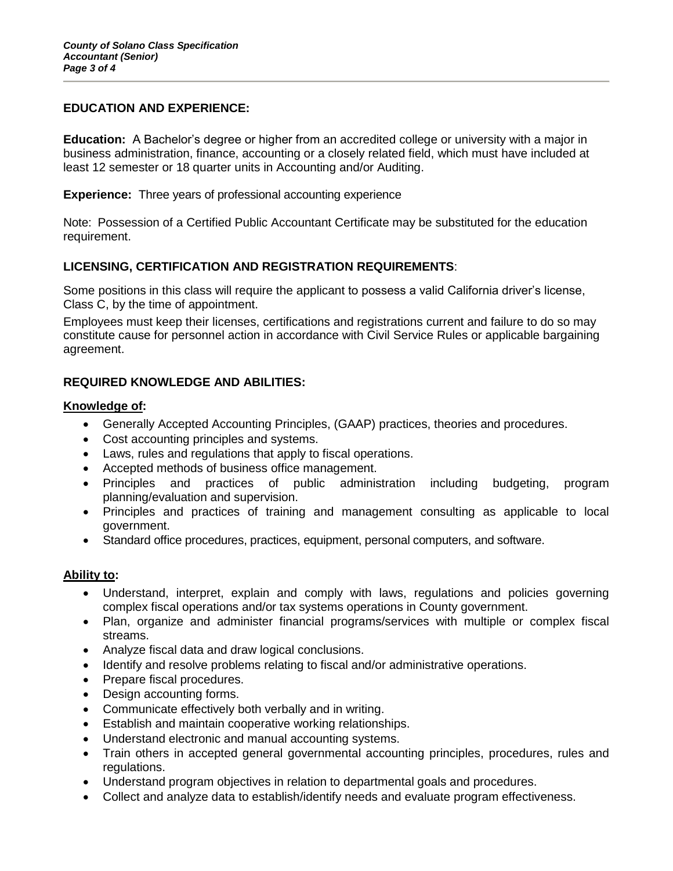# **EDUCATION AND EXPERIENCE:**

**Education:** A Bachelor's degree or higher from an accredited college or university with a major in business administration, finance, accounting or a closely related field, which must have included at least 12 semester or 18 quarter units in Accounting and/or Auditing.

**Experience:** Three years of professional accounting experience

Note: Possession of a Certified Public Accountant Certificate may be substituted for the education requirement.

# **LICENSING, CERTIFICATION AND REGISTRATION REQUIREMENTS**:

Some positions in this class will require the applicant to possess a valid California driver's license, Class C, by the time of appointment.

Employees must keep their licenses, certifications and registrations current and failure to do so may constitute cause for personnel action in accordance with Civil Service Rules or applicable bargaining agreement.

# **REQUIRED KNOWLEDGE AND ABILITIES:**

### **Knowledge of:**

- Generally Accepted Accounting Principles, (GAAP) practices, theories and procedures.
- Cost accounting principles and systems.
- Laws, rules and regulations that apply to fiscal operations.
- Accepted methods of business office management.
- Principles and practices of public administration including budgeting, program planning/evaluation and supervision.
- Principles and practices of training and management consulting as applicable to local government.
- Standard office procedures, practices, equipment, personal computers, and software.

# **Ability to:**

- Understand, interpret, explain and comply with laws, regulations and policies governing complex fiscal operations and/or tax systems operations in County government.
- Plan, organize and administer financial programs/services with multiple or complex fiscal streams.
- Analyze fiscal data and draw logical conclusions.
- Identify and resolve problems relating to fiscal and/or administrative operations.
- Prepare fiscal procedures.
- Design accounting forms.
- Communicate effectively both verbally and in writing.
- Establish and maintain cooperative working relationships.
- Understand electronic and manual accounting systems.
- Train others in accepted general governmental accounting principles, procedures, rules and regulations.
- Understand program objectives in relation to departmental goals and procedures.
- Collect and analyze data to establish/identify needs and evaluate program effectiveness.